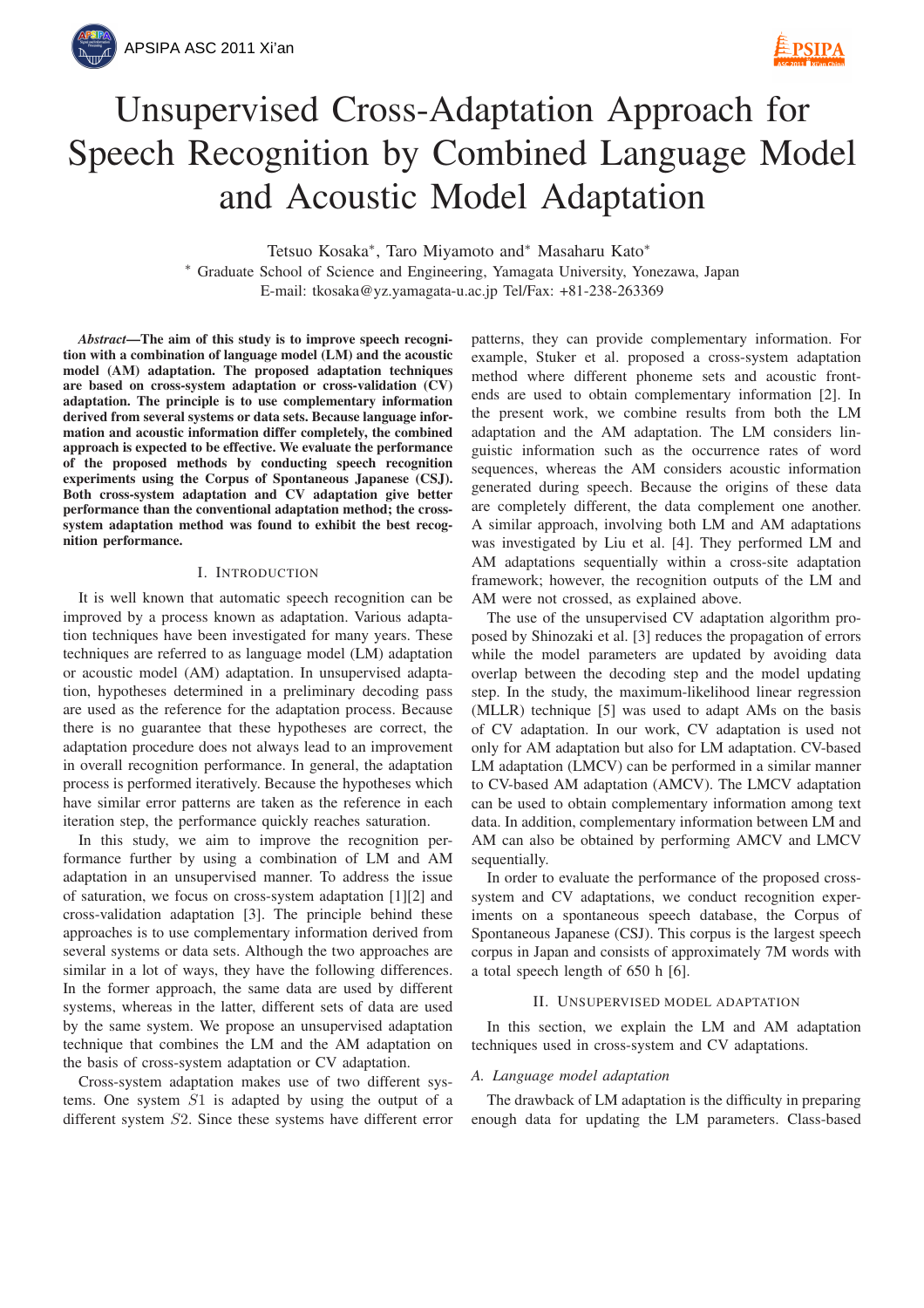# Unsupervised Cross-Adaptation Approach for Speech Recognition by Combined Language Model and Acoustic Model Adaptation

Tetsuo Kosaka<sup>∗</sup> , Taro Miyamoto and<sup>∗</sup> Masaharu Kato<sup>∗</sup>

<sup>∗</sup> Graduate School of Science and Engineering, Yamagata University, Yonezawa, Japan E-mail: tkosaka@yz.yamagata-u.ac.jp Tel/Fax: +81-238-263369

*Abstract*—The aim of this study is to improve speech recognition with a combination of language model (LM) and the acoustic model (AM) adaptation. The proposed adaptation techniques are based on cross-system adaptation or cross-validation (CV) adaptation. The principle is to use complementary information derived from several systems or data sets. Because language information and acoustic information differ completely, the combined approach is expected to be effective. We evaluate the performance of the proposed methods by conducting speech recognition experiments using the Corpus of Spontaneous Japanese (CSJ). Both cross-system adaptation and CV adaptation give better performance than the conventional adaptation method; the crosssystem adaptation method was found to exhibit the best recognition performance.

## I. INTRODUCTION

It is well known that automatic speech recognition can be improved by a process known as adaptation. Various adaptation techniques have been investigated for many years. These techniques are referred to as language model (LM) adaptation or acoustic model (AM) adaptation. In unsupervised adaptation, hypotheses determined in a preliminary decoding pass are used as the reference for the adaptation process. Because there is no guarantee that these hypotheses are correct, the adaptation procedure does not always lead to an improvement in overall recognition performance. In general, the adaptation process is performed iteratively. Because the hypotheses which have similar error patterns are taken as the reference in each iteration step, the performance quickly reaches saturation.

In this study, we aim to improve the recognition performance further by using a combination of LM and AM adaptation in an unsupervised manner. To address the issue of saturation, we focus on cross-system adaptation [1][2] and cross-validation adaptation [3]. The principle behind these approaches is to use complementary information derived from several systems or data sets. Although the two approaches are similar in a lot of ways, they have the following differences. In the former approach, the same data are used by different systems, whereas in the latter, different sets of data are used by the same system. We propose an unsupervised adaptation technique that combines the LM and the AM adaptation on the basis of cross-system adaptation or CV adaptation.

Cross-system adaptation makes use of two different systems. One system S1 is adapted by using the output of a different system S2. Since these systems have different error

patterns, they can provide complementary information. For example, Stuker et al. proposed a cross-system adaptation method where different phoneme sets and acoustic frontends are used to obtain complementary information [2]. In the present work, we combine results from both the LM adaptation and the AM adaptation. The LM considers linguistic information such as the occurrence rates of word sequences, whereas the AM considers acoustic information generated during speech. Because the origins of these data are completely different, the data complement one another. A similar approach, involving both LM and AM adaptations was investigated by Liu et al. [4]. They performed LM and AM adaptations sequentially within a cross-site adaptation framework; however, the recognition outputs of the LM and AM were not crossed, as explained above.

The use of the unsupervised CV adaptation algorithm proposed by Shinozaki et al. [3] reduces the propagation of errors while the model parameters are updated by avoiding data overlap between the decoding step and the model updating step. In the study, the maximum-likelihood linear regression (MLLR) technique [5] was used to adapt AMs on the basis of CV adaptation. In our work, CV adaptation is used not only for AM adaptation but also for LM adaptation. CV-based LM adaptation (LMCV) can be performed in a similar manner to CV-based AM adaptation (AMCV). The LMCV adaptation can be used to obtain complementary information among text data. In addition, complementary information between LM and AM can also be obtained by performing AMCV and LMCV sequentially.

In order to evaluate the performance of the proposed crosssystem and CV adaptations, we conduct recognition experiments on a spontaneous speech database, the Corpus of Spontaneous Japanese (CSJ). This corpus is the largest speech corpus in Japan and consists of approximately 7M words with a total speech length of 650 h [6].

### II. UNSUPERVISED MODEL ADAPTATION

In this section, we explain the LM and AM adaptation techniques used in cross-system and CV adaptations.

## *A. Language model adaptation*

The drawback of LM adaptation is the difficulty in preparing enough data for updating the LM parameters. Class-based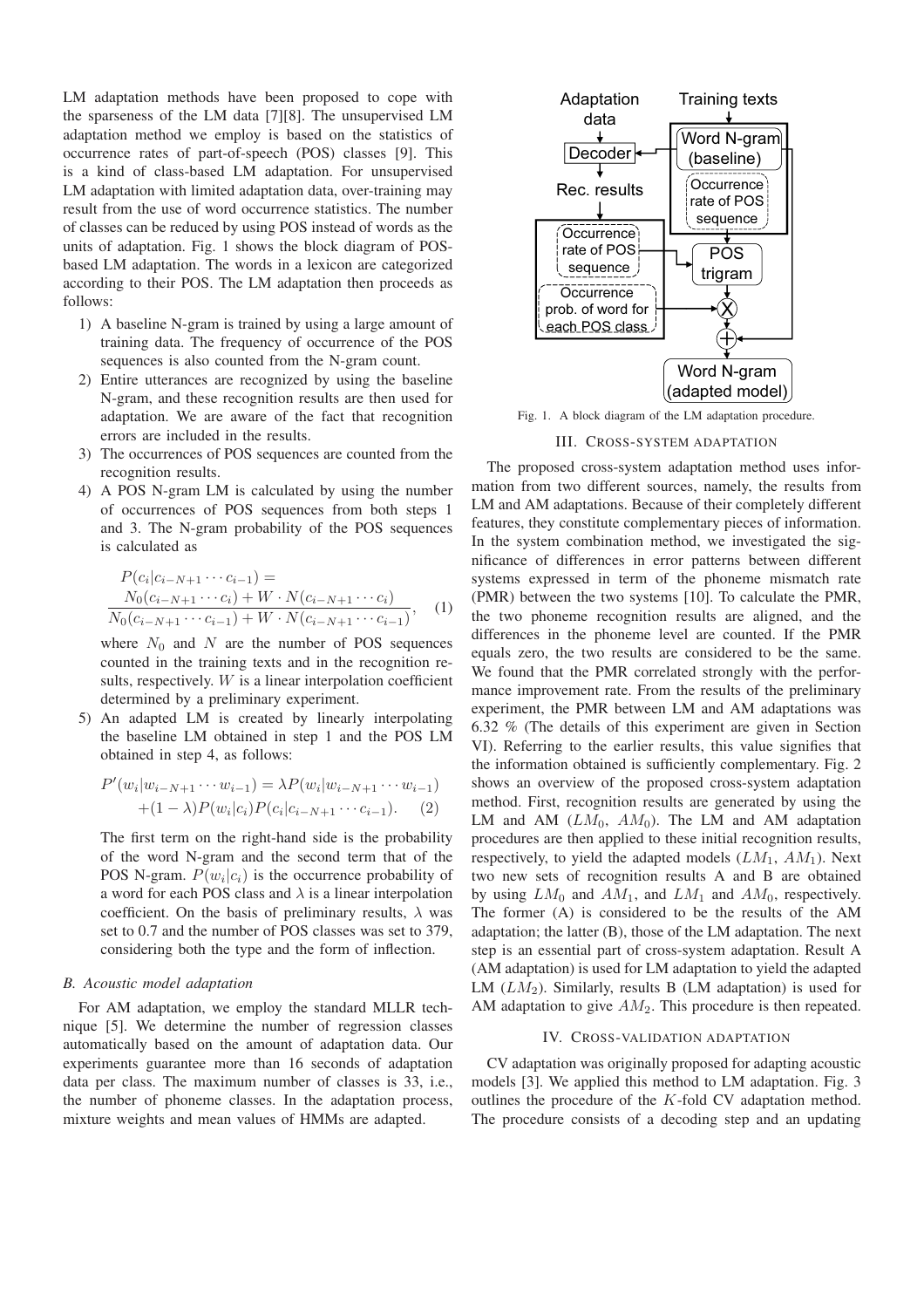LM adaptation methods have been proposed to cope with the sparseness of the LM data [7][8]. The unsupervised LM adaptation method we employ is based on the statistics of occurrence rates of part-of-speech (POS) classes [9]. This is a kind of class-based LM adaptation. For unsupervised LM adaptation with limited adaptation data, over-training may result from the use of word occurrence statistics. The number of classes can be reduced by using POS instead of words as the units of adaptation. Fig. 1 shows the block diagram of POSbased LM adaptation. The words in a lexicon are categorized according to their POS. The LM adaptation then proceeds as follows:

- 1) A baseline N-gram is trained by using a large amount of training data. The frequency of occurrence of the POS sequences is also counted from the N-gram count.
- 2) Entire utterances are recognized by using the baseline N-gram, and these recognition results are then used for adaptation. We are aware of the fact that recognition errors are included in the results.
- 3) The occurrences of POS sequences are counted from the recognition results.
- 4) A POS N-gram LM is calculated by using the number of occurrences of POS sequences from both steps 1 and 3. The N-gram probability of the POS sequences is calculated as

$$
P(c_i|c_{i-N+1}\cdots c_{i-1}) =
$$
  
\n
$$
\frac{N_0(c_{i-N+1}\cdots c_i) + W \cdot N(c_{i-N+1}\cdots c_i)}{N_0(c_{i-N+1}\cdots c_{i-1}) + W \cdot N(c_{i-N+1}\cdots c_{i-1})},
$$
 (1)

where  $N_0$  and N are the number of POS sequences counted in the training texts and in the recognition results, respectively.  $W$  is a linear interpolation coefficient determined by a preliminary experiment.

5) An adapted LM is created by linearly interpolating the baseline LM obtained in step 1 and the POS LM obtained in step 4, as follows:

$$
P'(w_i|w_{i-N+1}\cdots w_{i-1}) = \lambda P(w_i|w_{i-N+1}\cdots w_{i-1}) + (1-\lambda)P(w_i|c_i)P(c_i|c_{i-N+1}\cdots c_{i-1}).
$$
 (2)

The first term on the right-hand side is the probability of the word N-gram and the second term that of the POS N-gram.  $P(w_i|c_i)$  is the occurrence probability of a word for each POS class and  $\lambda$  is a linear interpolation coefficient. On the basis of preliminary results,  $\lambda$  was set to 0.7 and the number of POS classes was set to 379, considering both the type and the form of inflection.

## *B. Acoustic model adaptation*

For AM adaptation, we employ the standard MLLR technique [5]. We determine the number of regression classes automatically based on the amount of adaptation data. Our experiments guarantee more than 16 seconds of adaptation data per class. The maximum number of classes is 33, i.e., the number of phoneme classes. In the adaptation process, mixture weights and mean values of HMMs are adapted.



Fig. 1. A block diagram of the LM adaptation procedure.

### III. CROSS-SYSTEM ADAPTATION

The proposed cross-system adaptation method uses information from two different sources, namely, the results from LM and AM adaptations. Because of their completely different features, they constitute complementary pieces of information. In the system combination method, we investigated the significance of differences in error patterns between different systems expressed in term of the phoneme mismatch rate (PMR) between the two systems [10]. To calculate the PMR, the two phoneme recognition results are aligned, and the differences in the phoneme level are counted. If the PMR equals zero, the two results are considered to be the same. We found that the PMR correlated strongly with the performance improvement rate. From the results of the preliminary experiment, the PMR between LM and AM adaptations was 6.32 % (The details of this experiment are given in Section VI). Referring to the earlier results, this value signifies that the information obtained is sufficiently complementary. Fig. 2 shows an overview of the proposed cross-system adaptation method. First, recognition results are generated by using the LM and AM  $(LM_0, AM_0)$ . The LM and AM adaptation procedures are then applied to these initial recognition results, respectively, to yield the adapted models  $(LM_1, AM_1)$ . Next two new sets of recognition results A and B are obtained by using  $LM_0$  and  $AM_1$ , and  $LM_1$  and  $AM_0$ , respectively. The former (A) is considered to be the results of the AM adaptation; the latter (B), those of the LM adaptation. The next step is an essential part of cross-system adaptation. Result A (AM adaptation) is used for LM adaptation to yield the adapted LM  $(LM_2)$ . Similarly, results B (LM adaptation) is used for AM adaptation to give  $AM_2$ . This procedure is then repeated.

### IV. CROSS-VALIDATION ADAPTATION

CV adaptation was originally proposed for adapting acoustic models [3]. We applied this method to LM adaptation. Fig. 3 outlines the procedure of the K-fold CV adaptation method. The procedure consists of a decoding step and an updating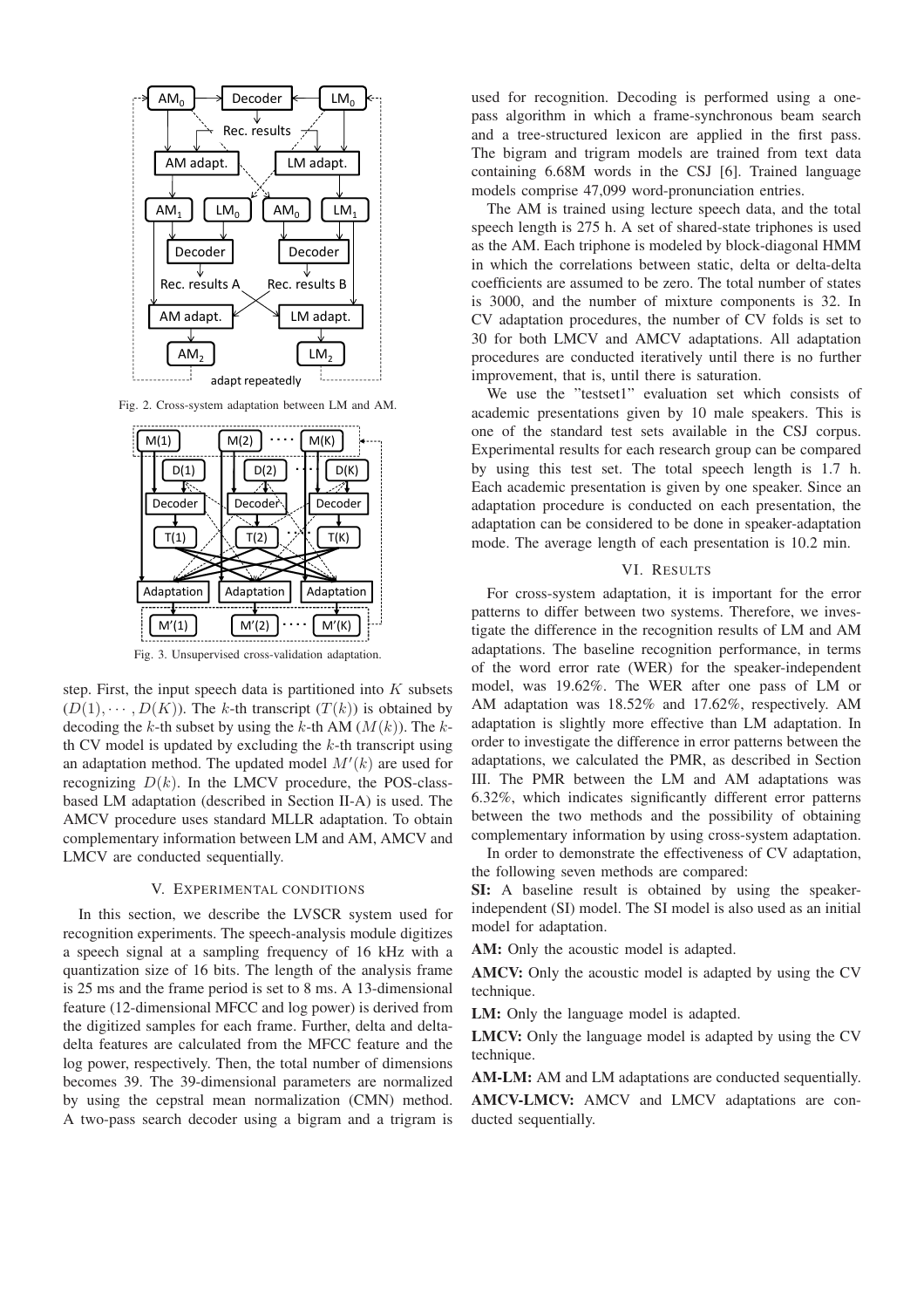

Fig. 2. Cross-system adaptation between LM and AM.



Fig. 3. Unsupervised cross-validation adaptation.

step. First, the input speech data is partitioned into  $K$  subsets  $(D(1), \cdots, D(K))$ . The k-th transcript  $(T(k))$  is obtained by decoding the k-th subset by using the k-th AM  $(M(k))$ . The kth CV model is updated by excluding the  $k$ -th transcript using an adaptation method. The updated model  $M'(k)$  are used for recognizing  $D(k)$ . In the LMCV procedure, the POS-classbased LM adaptation (described in Section II-A) is used. The AMCV procedure uses standard MLLR adaptation. To obtain complementary information between LM and AM, AMCV and LMCV are conducted sequentially.

#### V. EXPERIMENTAL CONDITIONS

In this section, we describe the LVSCR system used for recognition experiments. The speech-analysis module digitizes a speech signal at a sampling frequency of 16 kHz with a quantization size of 16 bits. The length of the analysis frame is 25 ms and the frame period is set to 8 ms. A 13-dimensional feature (12-dimensional MFCC and log power) is derived from the digitized samples for each frame. Further, delta and deltadelta features are calculated from the MFCC feature and the log power, respectively. Then, the total number of dimensions becomes 39. The 39-dimensional parameters are normalized by using the cepstral mean normalization (CMN) method. A two-pass search decoder using a bigram and a trigram is

used for recognition. Decoding is performed using a onepass algorithm in which a frame-synchronous beam search and a tree-structured lexicon are applied in the first pass. The bigram and trigram models are trained from text data containing 6.68M words in the CSJ [6]. Trained language models comprise 47,099 word-pronunciation entries.

The AM is trained using lecture speech data, and the total speech length is 275 h. A set of shared-state triphones is used as the AM. Each triphone is modeled by block-diagonal HMM in which the correlations between static, delta or delta-delta coefficients are assumed to be zero. The total number of states is 3000, and the number of mixture components is 32. In CV adaptation procedures, the number of CV folds is set to 30 for both LMCV and AMCV adaptations. All adaptation procedures are conducted iteratively until there is no further improvement, that is, until there is saturation.

We use the "testset1" evaluation set which consists of academic presentations given by 10 male speakers. This is one of the standard test sets available in the CSJ corpus. Experimental results for each research group can be compared by using this test set. The total speech length is 1.7 h. Each academic presentation is given by one speaker. Since an adaptation procedure is conducted on each presentation, the adaptation can be considered to be done in speaker-adaptation mode. The average length of each presentation is 10.2 min.

#### VI. RESULTS

For cross-system adaptation, it is important for the error patterns to differ between two systems. Therefore, we investigate the difference in the recognition results of LM and AM adaptations. The baseline recognition performance, in terms of the word error rate (WER) for the speaker-independent model, was 19.62%. The WER after one pass of LM or AM adaptation was 18.52% and 17.62%, respectively. AM adaptation is slightly more effective than LM adaptation. In order to investigate the difference in error patterns between the adaptations, we calculated the PMR, as described in Section III. The PMR between the LM and AM adaptations was 6.32%, which indicates significantly different error patterns between the two methods and the possibility of obtaining complementary information by using cross-system adaptation.

In order to demonstrate the effectiveness of CV adaptation, the following seven methods are compared:

SI: A baseline result is obtained by using the speakerindependent (SI) model. The SI model is also used as an initial model for adaptation.

AM: Only the acoustic model is adapted.

AMCV: Only the acoustic model is adapted by using the CV technique.

LM: Only the language model is adapted.

LMCV: Only the language model is adapted by using the CV technique.

AM-LM: AM and LM adaptations are conducted sequentially.

AMCV-LMCV: AMCV and LMCV adaptations are conducted sequentially.